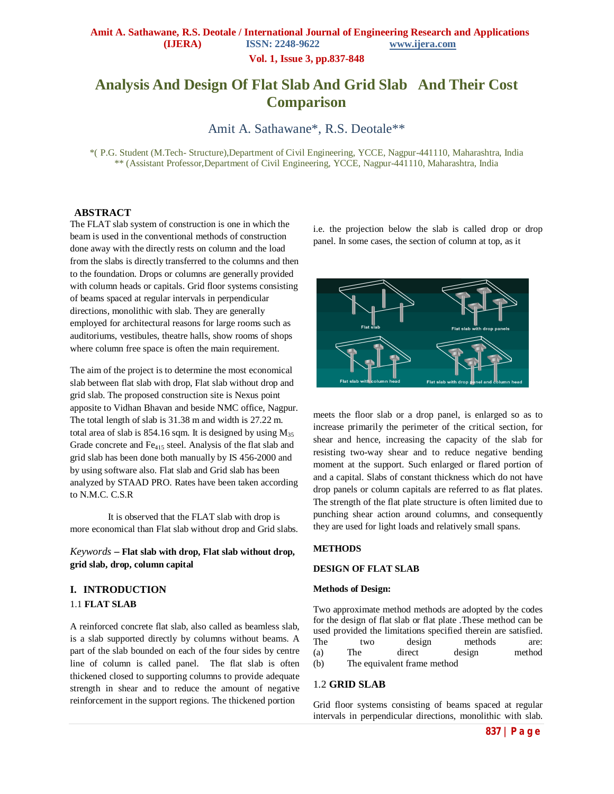**Vol. 1, Issue 3, pp.837-848**

# **Analysis And Design Of Flat Slab And Grid Slab And Their Cost Comparison**

Amit A. Sathawane\*, R.S. Deotale\*\*

\*( P.G. Student (M.Tech- Structure),Department of Civil Engineering, YCCE, Nagpur-441110, Maharashtra, India \*\* (Assistant Professor,Department of Civil Engineering, YCCE, Nagpur-441110, Maharashtra, India

### **ABSTRACT**

The FLAT slab system of construction is one in which the beam is used in the conventional methods of construction done away with the directly rests on column and the load from the slabs is directly transferred to the columns and then to the foundation. Drops or columns are generally provided with column heads or capitals. Grid floor systems consisting of beams spaced at regular intervals in perpendicular directions, monolithic with slab. They are generally employed for architectural reasons for large rooms such as auditoriums, vestibules, theatre halls, show rooms of shops where column free space is often the main requirement.

The aim of the project is to determine the most economical slab between flat slab with drop, Flat slab without drop and grid slab. The proposed construction site is Nexus point apposite to Vidhan Bhavan and beside NMC office, Nagpur. The total length of slab is 31.38 m and width is 27.22 m. total area of slab is 854.16 sqm. It is designed by using  $M_{35}$ Grade concrete and Fe<sup>415</sup> steel. Analysis of the flat slab and grid slab has been done both manually by IS 456-2000 and by using software also. Flat slab and Grid slab has been analyzed by STAAD PRO. Rates have been taken according to N.M.C. C.S.R

 It is observed that the FLAT slab with drop is more economical than Flat slab without drop and Grid slabs.

*Keywords* **– Flat slab with drop, Flat slab without drop, grid slab, drop, column capital**

### **I. INTRODUCTION**

### 1.1 **FLAT SLAB**

A reinforced concrete flat slab, also called as beamless slab, is a slab supported directly by columns without beams. A part of the slab bounded on each of the four sides by centre line of column is called panel. The flat slab is often thickened closed to supporting columns to provide adequate strength in shear and to reduce the amount of negative reinforcement in the support regions. The thickened portion

i.e. the projection below the slab is called drop or drop panel. In some cases, the section of column at top, as it



meets the floor slab or a drop panel, is enlarged so as to increase primarily the perimeter of the critical section, for shear and hence, increasing the capacity of the slab for resisting two-way shear and to reduce negative bending moment at the support. Such enlarged or flared portion of and a capital. Slabs of constant thickness which do not have drop panels or column capitals are referred to as flat plates. The strength of the flat plate structure is often limited due to punching shear action around columns, and consequently they are used for light loads and relatively small spans.

#### **METHODS**

#### **DESIGN OF FLAT SLAB**

#### **Methods of Design:**

Two approximate method methods are adopted by the codes for the design of flat slab or flat plate .These method can be used provided the limitations specified therein are satisfied. The two design methods are: (a) The direct design method (b) The equivalent frame method

### 1.2 **GRID SLAB**

Grid floor systems consisting of beams spaced at regular intervals in perpendicular directions, monolithic with slab.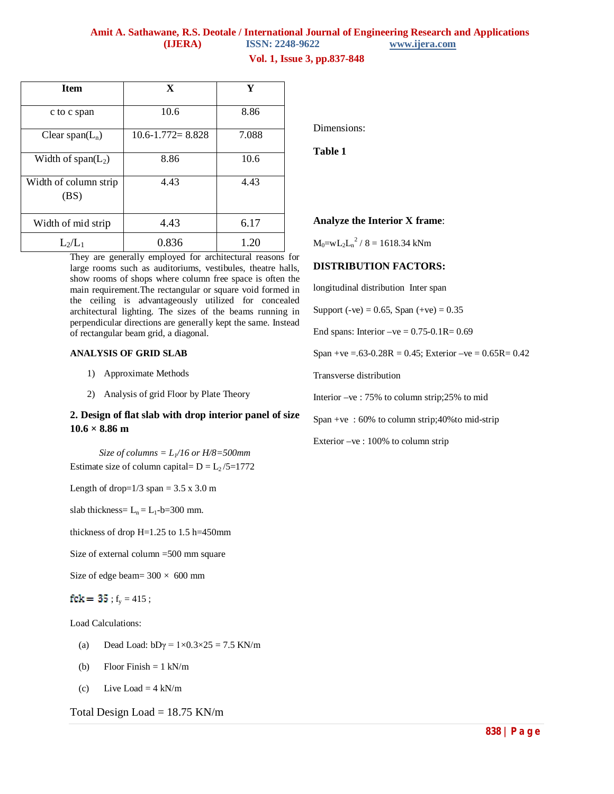## **Amit A. Sathawane, R.S. Deotale / International Journal of Engineering Research and Applications (IJERA)** ISSN: 2248-9622

### **Vol. 1, Issue 3, pp.837-848**

| <b>Item</b>                   | X                      | Y     |
|-------------------------------|------------------------|-------|
| c to c span                   | 10.6                   | 8.86  |
| Clear span( $L_n$ )           | $10.6 - 1.772 = 8.828$ | 7.088 |
| Width of $span(L_2)$          | 8.86                   | 10.6  |
| Width of column strip<br>(BS) | 4.43                   | 4.43  |
| Width of mid strip            | 4.43                   | 6.17  |
| $L_2/L_1$                     | 0.836                  | 1.20  |

They are generally employed for architectural reasons for large rooms such as auditoriums, vestibules, theatre halls, show rooms of shops where column free space is often the main requirement.The rectangular or square void formed in the ceiling is advantageously utilized for concealed architectural lighting. The sizes of the beams running in perpendicular directions are generally kept the same. Instead of rectangular beam grid, a diagonal.

### **ANALYSIS OF GRID SLAB**

- 1) Approximate Methods
- 2) Analysis of grid Floor by Plate Theory

### **2. Design of flat slab with drop interior panel of size 10.6 × 8.86 m**

*Size of columns =*  $L$ *<sup>16</sup> or H/8=500mm* Estimate size of column capital=  $D = L_2 / 5 = 1772$ 

Length of drop= $1/3$  span =  $3.5 \times 3.0$  m

slab thickness=  $L_n = L_1 - b = 300$  mm.

thickness of drop H=1.25 to 1.5 h=450mm

Size of external column =500 mm square

Size of edge beam=  $300 \times 600$  mm

 $fck = 35$ ;  $f_v = 415$ ;

Load Calculations:

- (a) Dead Load:  $bD\gamma = 1 \times 0.3 \times 25 = 7.5$  KN/m
- (b) Floor Finish  $= 1 \text{ kN/m}$
- (c) Live Load =  $4 \text{ kN/m}$

Total Design Load =  $18.75$  KN/m

Dimensions:

**Table 1**

### **Analyze the Interior X frame**:

 $M_0 = w L_2 L_n^2 / 8 = 1618.34$  kNm

### **DISTRIBUTION FACTORS:**

longitudinal distribution Inter span

Support (-ve) =  $0.65$ , Span (+ve) =  $0.35$ 

End spans: Interior  $-ve = 0.75 - 0.1R = 0.69$ 

Span +ve =.63-0.28R = 0.45; Exterior -ve =  $0.65R = 0.42$ 

Transverse distribution

Interior –ve : 75% to column strip;25% to mid

Span +ve : 60% to column strip;40%to mid-strip

Exterior –ve : 100% to column strip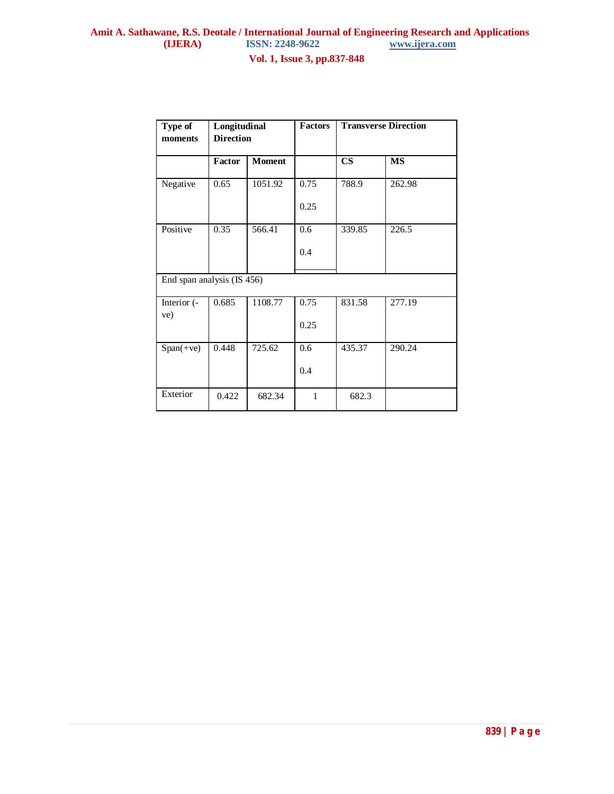**Vol. 1, Issue 3, pp.837-848**

| Type of<br>moments         | Longitudinal<br><b>Direction</b> |               | <b>Factors</b> | <b>Transverse Direction</b> |           |
|----------------------------|----------------------------------|---------------|----------------|-----------------------------|-----------|
|                            | Factor                           | <b>Moment</b> |                | $\overline{\text{CS}}$      | <b>MS</b> |
| Negative                   | 0.65                             | 1051.92       | 0.75<br>0.25   | 788.9                       | 262.98    |
| Positive                   | 0.35                             | 566.41        | 0.6<br>0.4     | 339.85                      | 226.5     |
| End span analysis (IS 456) |                                  |               |                |                             |           |
| Interior (-<br>ve)         | 0.685                            | 1108.77       | 0.75<br>0.25   | 831.58                      | 277.19    |
| $Span(+ve)$                | 0.448                            | 725.62        | 0.6<br>0.4     | 435.37                      | 290.24    |
| Exterior                   | 0.422                            | 682.34        | $\mathbf{1}$   | 682.3                       |           |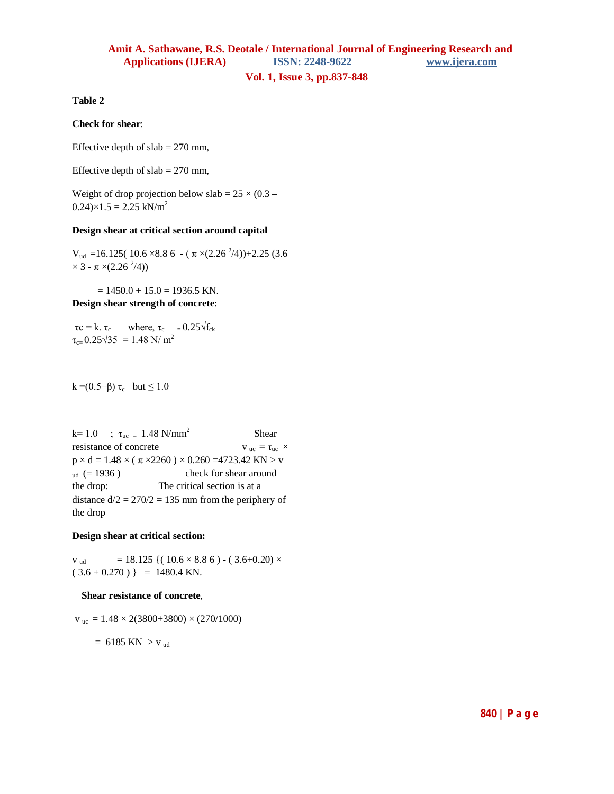# **Amit A. Sathawane, R.S. Deotale / International Journal of Engineering Research and Applications (IJERA) ISSN: 2248-9622 www.ijera.com**

**Vol. 1, Issue 3, pp.837-848**

**Table 2**

### **Check for shear**:

Effective depth of  $slab = 270$  mm,

Effective depth of  $slab = 270$  mm,

Weight of drop projection below slab =  $25 \times (0.3 0.24 \times 1.5 = 2.25$  kN/m<sup>2</sup>

### **Design shear at critical section around capital**

 $V_{ud}$  =16.125( 10.6 ×8.8 6 - ( $\pi$  ×(2.26<sup>2</sup>/4))+2.25 (3.6  $\times$  3 -  $\pi$   $\times$  (2.26<sup>2</sup>/4))

 $= 1450.0 + 15.0 = 1936.5$  KN. **Design shear strength of concrete**:

 $\tau_c = k$ .  $\tau_c$  where,  $\tau_c = 0.25 \sqrt{f_{ck}}$  $\tau_{c=} 0.25\sqrt{35} = 1.48$  N/ m<sup>2</sup>

### k =(0.5+ $\beta$ ) τ<sub>c</sub> but  $\leq 1.0$

k= 1.0 ;  $\tau_{uc} = 1.48 \text{ N/mm}^2$  Shear resistance of concrete  $v_{uc} = \tau_{uc} \times$  $p \times d = 1.48 \times (\pi \times 2260) \times 0.260 = 4723.42$  KN  $> v$  $_{ud}$  (= 1936) check for shear around the drop: The critical section is at a distance  $d/2 = 270/2 = 135$  mm from the periphery of the drop

### **Design shear at critical section:**

 $v_{\text{ud}} = 18.125 \{(10.6 \times 8.8 \text{ 6}) - (3.6 + 0.20) \times$  $(3.6 + 0.270)$  } = 1480.4 KN.

### **Shear resistance of concrete**,

 $v_{\text{uc}} = 1.48 \times 2(3800+3800) \times (270/1000)$ 

 $= 6185$  KN  $>$  v<sub>ud</sub>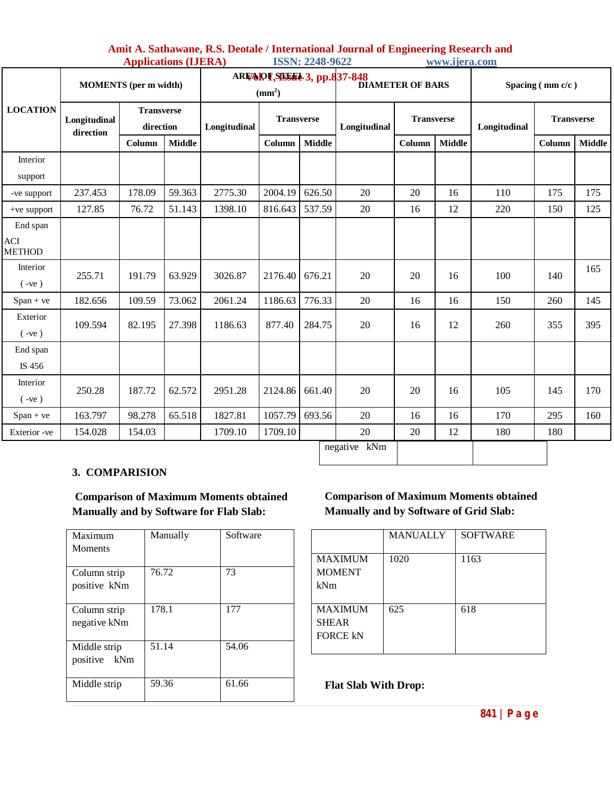| Amit A. Sathawane, R.S. Deotale / International Journal of Engineering Research and |                        |               |
|-------------------------------------------------------------------------------------|------------------------|---------------|
| <b>Applications (IJERA)</b>                                                         | <b>ISSN: 2248-9622</b> | www.ijera.com |

|                                  | <b>MOMENTS</b> (per m width) |                                |               | ARIZA PI SISSEE 3, pp.837-848<br>$\text{mm}^2$ ) |                   |               | <b>DIAMETER OF BARS</b> |                   |               | Spacing $(\text{mm } c/c)$ |                   |               |
|----------------------------------|------------------------------|--------------------------------|---------------|--------------------------------------------------|-------------------|---------------|-------------------------|-------------------|---------------|----------------------------|-------------------|---------------|
| <b>LOCATION</b>                  | Longitudinal<br>direction    | <b>Transverse</b><br>direction |               | Longitudinal                                     | <b>Transverse</b> |               | Longitudinal            | <b>Transverse</b> |               | Longitudinal               | <b>Transverse</b> |               |
|                                  |                              | Column                         | <b>Middle</b> |                                                  | Column            | <b>Middle</b> |                         | Column            | <b>Middle</b> |                            | Column            | <b>Middle</b> |
| Interior<br>support              |                              |                                |               |                                                  |                   |               |                         |                   |               |                            |                   |               |
| -ve support                      | 237.453                      | 178.09                         | 59.363        | 2775.30                                          | 2004.19           | 626.50        | 20                      | 20                | 16            | 110                        | 175               | 175           |
| $+ve support$                    | 127.85                       | 76.72                          | 51.143        | 1398.10                                          | 816.643           | 537.59        | 20                      | 16                | 12            | 220                        | 150               | 125           |
| End span<br>ACI<br><b>METHOD</b> |                              |                                |               |                                                  |                   |               |                         |                   |               |                            |                   |               |
| Interior<br>$(-ve)$              | 255.71                       | 191.79                         | 63.929        | 3026.87                                          | 2176.40           | 676.21        | 20                      | 20                | 16            | 100                        | 140               | 165           |
| $Span + ve$                      | 182.656                      | 109.59                         | 73.062        | 2061.24                                          | 1186.63           | 776.33        | 20                      | 16                | 16            | 150                        | 260               | 145           |
| Exterior<br>$(-ve)$              | 109.594                      | 82.195                         | 27.398        | 1186.63                                          | 877.40            | 284.75        | 20                      | 16                | 12            | 260                        | 355               | 395           |
| End span<br>IS 456               |                              |                                |               |                                                  |                   |               |                         |                   |               |                            |                   |               |
| Interior<br>$(-ve)$              | 250.28                       | 187.72                         | 62.572        | 2951.28                                          | 2124.86           | 661.40        | 20                      | 20                | 16            | 105                        | 145               | 170           |
| $Span + ve$                      | 163.797                      | 98.278                         | 65.518        | 1827.81                                          | 1057.79           | 693.56        | 20                      | 16                | 16            | 170                        | 295               | 160           |
| Exterior -ve                     | 154.028                      | 154.03                         |               | 1709.10                                          | 1709.10           |               | 20                      | 20                | 12            | 180                        | 180               |               |
| negative kNm                     |                              |                                |               |                                                  |                   |               |                         |                   |               |                            |                   |               |

## **3. COMPARISION**

**Comparison of Maximum Moments obtained Manually and by Software for Flab Slab:**

| Maximum<br><b>Moments</b>    | Manually | Software |
|------------------------------|----------|----------|
| Column strip<br>positive kNm | 76.72    | 73       |
| Column strip<br>negative kNm | 178.1    | 177      |
| Middle strip<br>positive kNm | 51.14    | 54.06    |
| Middle strip                 | 59.36    | 61.66    |

## **Comparison of Maximum Moments obtained Manually and by Software of Grid Slab:**

| <b>MANUALLY</b> | <b>SOFTWARE</b> |
|-----------------|-----------------|
| 1020            | 1163            |
| 625             | 618             |
|                 |                 |

**Flat Slab With Drop:**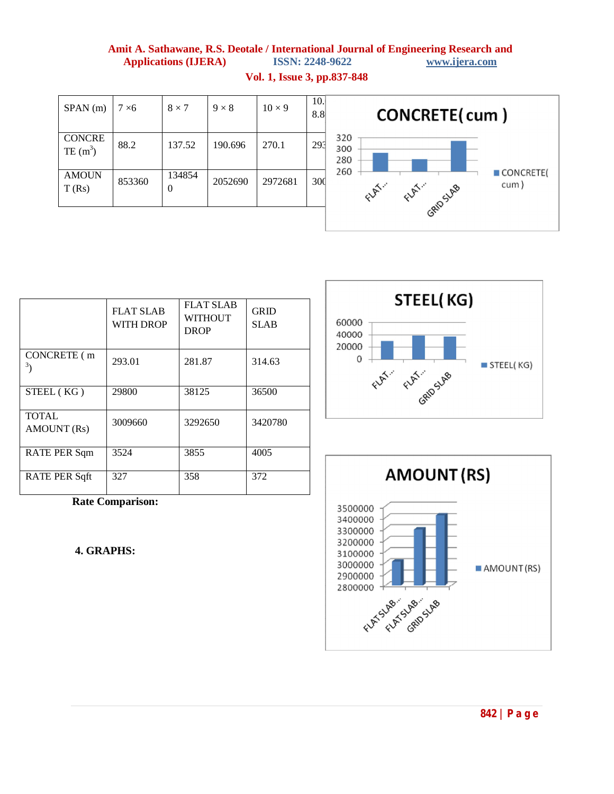# **Amit A. Sathawane, R.S. Deotale / International Journal of Engineering Research and Applications (IJERA) ISSN: 2248-9622 www.ijera.com**

| SPAN(m)                     | $7\times 6$ | $8 \times 7$             | $9 \times 8$ | $10 \times 9$ | 10.<br>8.8      | CONCRETE(cum)                                          |
|-----------------------------|-------------|--------------------------|--------------|---------------|-----------------|--------------------------------------------------------|
| <b>CONCRE</b><br>TE $(m^3)$ | 88.2        | 137.52                   | 190.696      | 270.1         | 293             | 320<br>300<br>280                                      |
| <b>AMOUN</b><br>T(Rs)       | 853360      | 134854<br>$\overline{0}$ | 2052690      | 2972681       | 30 <sub>d</sub> | 260<br>CONCRETE(<br>cum)<br>Elgin<br>FLAT.<br>GRIDSLAB |

**Vol. 1, Issue 3, pp.837-848**

|                             | <b>FLAT SLAB</b><br><b>WITH DROP</b> | <b>FLAT SLAB</b><br><b>WITHOUT</b><br><b>DROP</b> | <b>GRID</b><br><b>SLAB</b> |
|-----------------------------|--------------------------------------|---------------------------------------------------|----------------------------|
| CONCRETE (m<br>3            | 293.01                               | 281.87                                            | 314.63                     |
| STEEL (KG)                  | 29800                                | 38125                                             | 36500                      |
| <b>TOTAL</b><br>AMOUNT (Rs) | 3009660                              | 3292650                                           | 3420780                    |
| RATE PER Sqm                | 3524                                 | 3855                                              | 4005                       |
| RATE PER Sqft               | 327                                  | 358                                               | 372                        |

**Rate Comparison:**

**4. GRAPHS:**



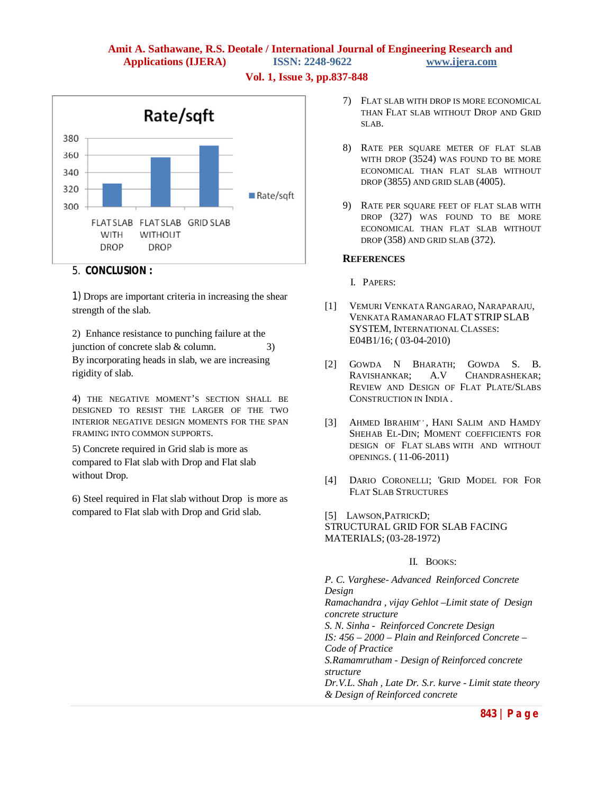## **Amit A. Sathawane, R.S. Deotale / International Journal of Engineering Research and Applications (IJERA) ISSN: 2248-9622 www.ijera.com**

**Vol. 1, Issue 3, pp.837-848**



### 5. **CONCLUSION :**

1) Drops are important criteria in increasing the shear strength of the slab.

2) Enhance resistance to punching failure at the junction of concrete slab  $&$  column. 3) By incorporating heads in slab, we are increasing rigidity of slab.

4) THE NEGATIVE MOMENT'S SECTION SHALL BE DESIGNED TO RESIST THE LARGER OF THE TWO INTERIOR NEGATIVE DESIGN MOMENTS FOR THE SPAN FRAMING INTO COMMON SUPPORTS.

5) Concrete required in Grid slab is more as compared to Flat slab with Drop and Flat slab without Drop.

6) Steel required in Flat slab without Drop is more as compared to Flat slab with Drop and Grid slab.

- 7) FLAT SLAB WITH DROP IS MORE ECONOMICAL THAN FLAT SLAB WITHOUT DROP AND GRID SLAB.
- 8) RATE PER SQUARE METER OF FLAT SLAB WITH DROP (3524) WAS FOUND TO BE MORE ECONOMICAL THAN FLAT SLAB WITHOUT DROP (3855) AND GRID SLAB (4005).
- 9) RATE PER SQUARE FEET OF FLAT SLAB WITH DROP (327) WAS FOUND TO BE MORE ECONOMICAL THAN FLAT SLAB WITHOUT DROP (358) AND GRID SLAB (372).

### **REFERENCES**

- I. PAPERS:
- [1] VEMURI VENKATA RANGARAO, NARAPARAJU, VENKATA RAMANARAO FLATSTRIP SLAB SYSTEM, INTERNATIONAL CLASSES: E04B1/16; ( 03-04-2010)
- [2] GOWDA N BHARATH; GOWDA S. B. RAVISHANKAR; A.V CHANDRASHEKAR; REVIEW AND DESIGN OF FLAT PLATE/SLABS CONSTRUCTION IN INDIA .
- [3] AHMED IBRAHIM", HANI SALIM AND HAMDY SHEHAB EL-DIN; MOMENT COEFFICIENTS FOR DESIGN OF FLAT SLABS WITH AND WITHOUT OPENINGS. ( 11-06-2011)
- [4] DARIO CORONELLI; 'GRID MODEL FOR FOR FLAT SLAB STRUCTURES

[5] LAWSON,PATRICKD;

STRUCTURAL GRID FOR SLAB FACING MATERIALS; (03-28-1972)

### II. BOOKS:

*P. C. Varghese- Advanced Reinforced Concrete Design Ramachandra , vijay Gehlot –Limit state of Design concrete structure S. N. Sinha - Reinforced Concrete Design IS: 456 – 2000 – Plain and Reinforced Concrete – Code of Practice S.Ramamrutham - Design of Reinforced concrete structure Dr.V.L. Shah , Late Dr. S.r. kurve - Limit state theory & Design of Reinforced concrete*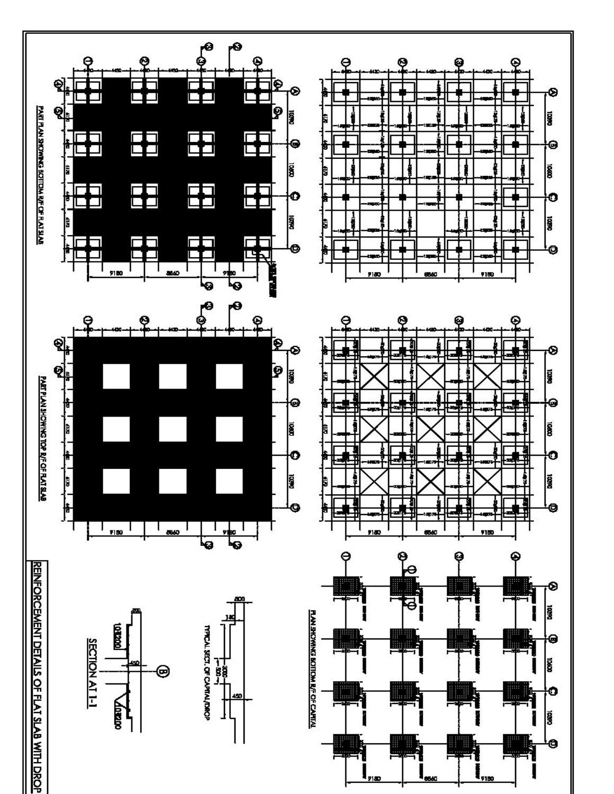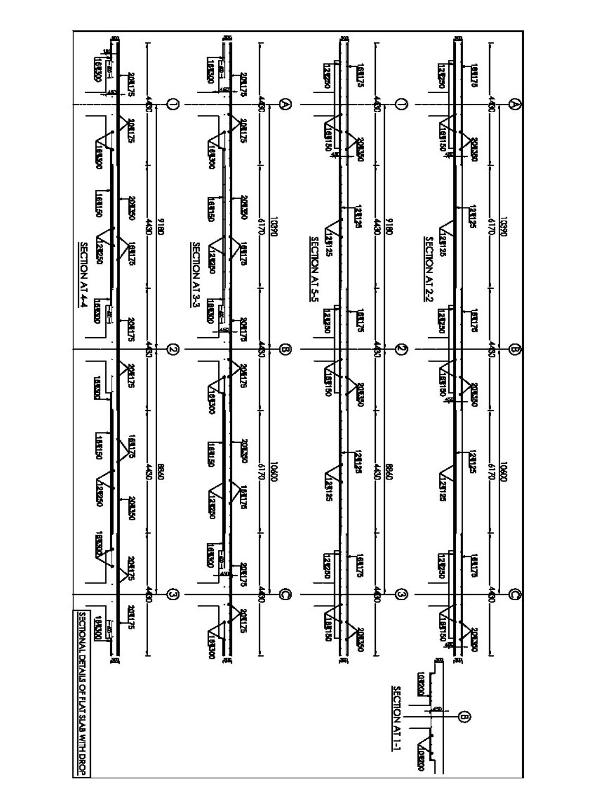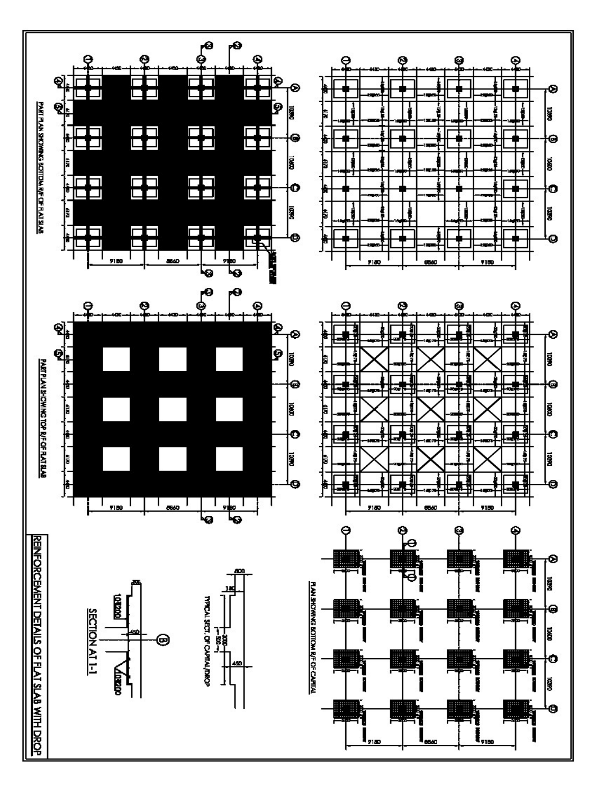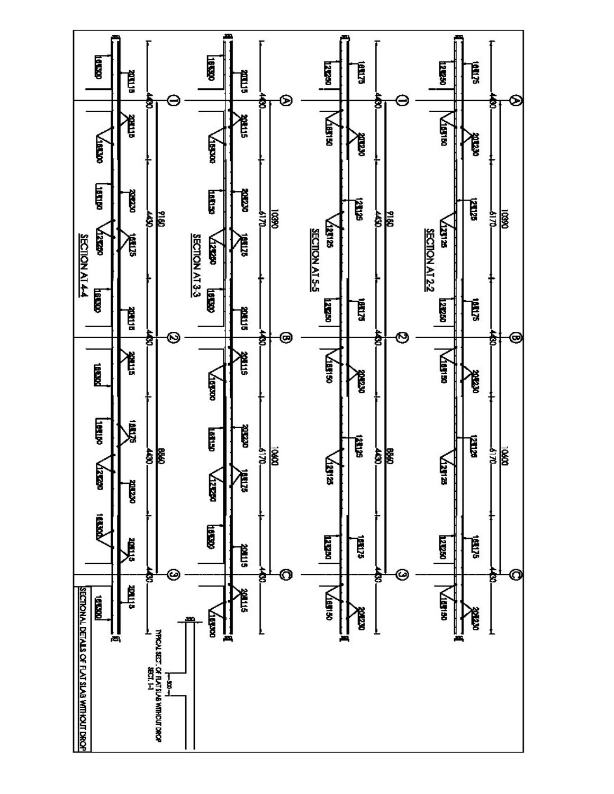![](_page_10_Figure_0.jpeg)